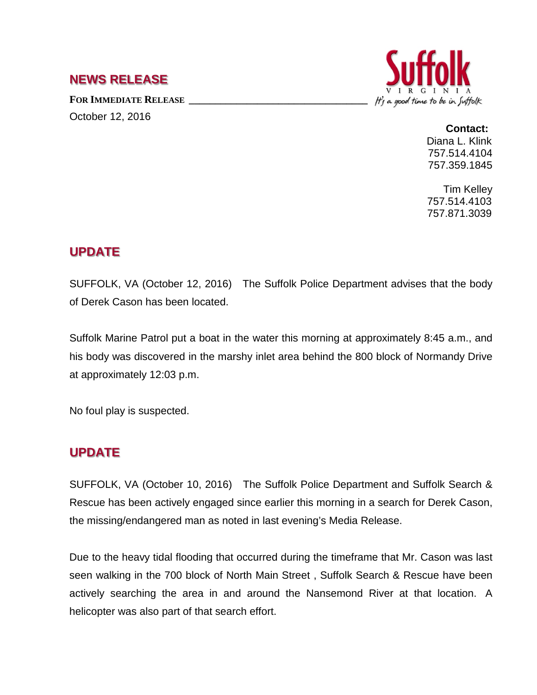### **NEWS RELEASE**

FOR IMMEDIATE RELEASE

October 12, 2016



#### **Contact:**

Diana L. Klink 757.514.4104 757.359.1845

Tim Kelley 757.514.4103 757.871.3039

## **UPDATE**

SUFFOLK, VA (October 12, 2016) The Suffolk Police Department advises that the body of Derek Cason has been located.

Suffolk Marine Patrol put a boat in the water this morning at approximately 8:45 a.m., and his body was discovered in the marshy inlet area behind the 800 block of Normandy Drive at approximately 12:03 p.m.

No foul play is suspected.

# **UPDATE**

SUFFOLK, VA (October 10, 2016) The Suffolk Police Department and Suffolk Search & Rescue has been actively engaged since earlier this morning in a search for Derek Cason, the missing/endangered man as noted in last evening's Media Release.

Due to the heavy tidal flooding that occurred during the timeframe that Mr. Cason was last seen walking in the 700 block of North Main Street , Suffolk Search & Rescue have been actively searching the area in and around the Nansemond River at that location. A helicopter was also part of that search effort.